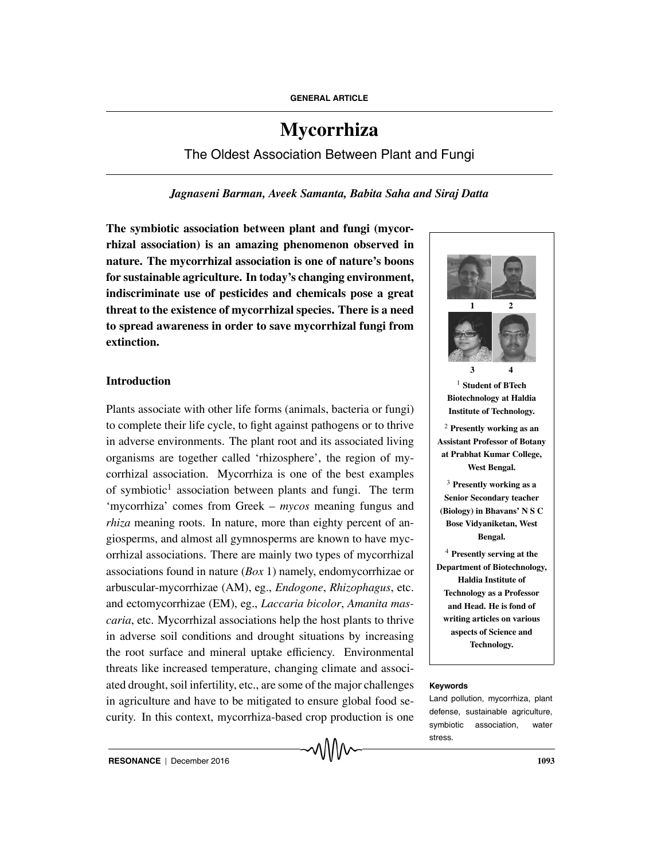# **Mycorrhiza**

The Oldest Association Between Plant and Fungi

# *Jagnaseni Barman, Aveek Samanta, Babita Saha and Siraj Datta*

**The symbiotic association between plant and fungi (mycorrhizal association) is an amazing phenomenon observed in nature. The mycorrhizal association is one of nature's boons for sustainable agriculture. In today's changing environment, indiscriminate use of pesticides and chemicals pose a great threat to the existence of mycorrhizal species. There is a need to spread awareness in order to save mycorrhizal fungi from extinction.**

# **Introduction**

Plants associate with other life forms (animals, bacteria or fungi) to complete their life cycle, to fight against pathogens or to thrive in adverse environments. The plant root and its associated living organisms are together called 'rhizosphere', the region of mycorrhizal association. Mycorrhiza is one of the best examples of symbiotic<sup>1</sup> association between plants and fungi. The term 'mycorrhiza' comes from Greek – *mycos* meaning fungus and *rhiza* meaning roots. In nature, more than eighty percent of angiosperms, and almost all gymnosperms are known to have mycorrhizal associations. There are mainly two types of mycorrhizal associations found in nature (*Box* 1) namely, endomycorrhizae or arbuscular-mycorrhizae (AM), eg., *Endogone*, *Rhizophagus*, etc. and ectomycorrhizae (EM), eg., *Laccaria bicolor*, *Amanita mascaria*, etc. Mycorrhizal associations help the host plants to thrive in adverse soil conditions and drought situations by increasing the root surface and mineral uptake efficiency. Environmental threats like increased temperature, changing climate and associated drought, soil infertility, etc., are some of the major challenges **Keywords** in agriculture and have to be mitigated to ensure global food security. In this context, mycorrhiza-based crop production is one



Land pollution, mycorrhiza, plant defense, sustainable agriculture, symbiotic association, water stress.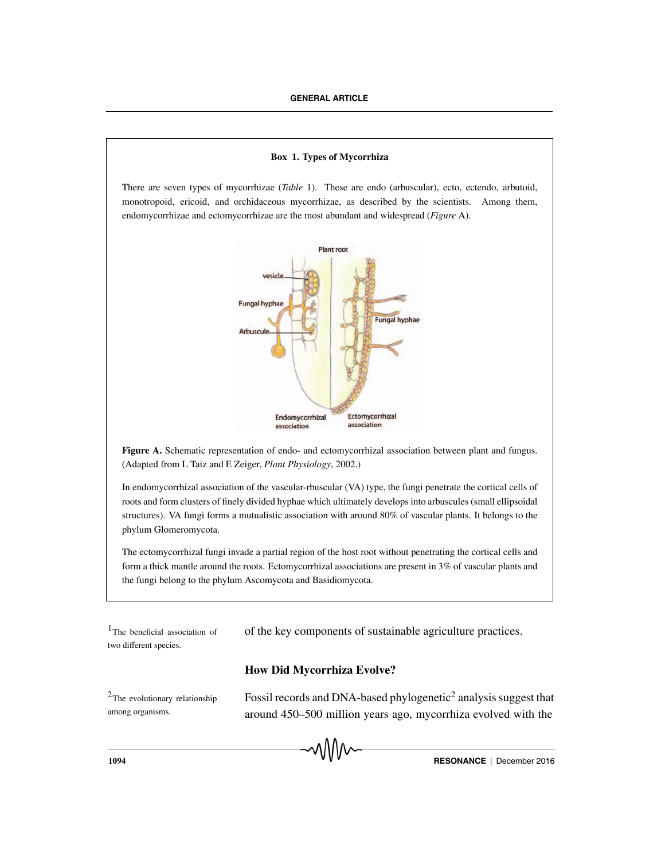#### **Box 1. Types of Mycorrhiza**

There are seven types of mycorrhizae (*Table* 1). These are endo (arbuscular), ecto, ectendo, arbutoid, monotropoid, ericoid, and orchidaceous mycorrhizae, as described by the scientists. Among them, endomycorrhizae and ectomycorrhizae are the most abundant and widespread (*Figure* A).



**Figure A.** Schematic representation of endo- and ectomycorrhizal association between plant and fungus. (Adapted from L Taiz and E Zeiger, *Plant Physiology*, 2002.)

In endomycorrhizal association of the vascular-rbuscular (VA) type, the fungi penetrate the cortical cells of roots and form clusters of finely divided hyphae which ultimately develops into arbuscules (small ellipsoidal structures). VA fungi forms a mutualistic association with around 80% of vascular plants. It belongs to the phylum Glomeromycota.

The ectomycorrhizal fungi invade a partial region of the host root without penetrating the cortical cells and form a thick mantle around the roots. Ectomycorrhizal associations are present in 3% of vascular plants and the fungi belong to the phylum Ascomycota and Basidiomycota.

two different species.

 $1$ The beneficial association of of the key components of sustainable agriculture practices.

# **How Did Mycorrhiza Evolve?**

among organisms.

<sup>2</sup>The evolutionary relationship **Fossil records and DNA-based phylogenetic**<sup>2</sup> analysis suggest that around 450–500 million years ago, mycorrhiza evolved with the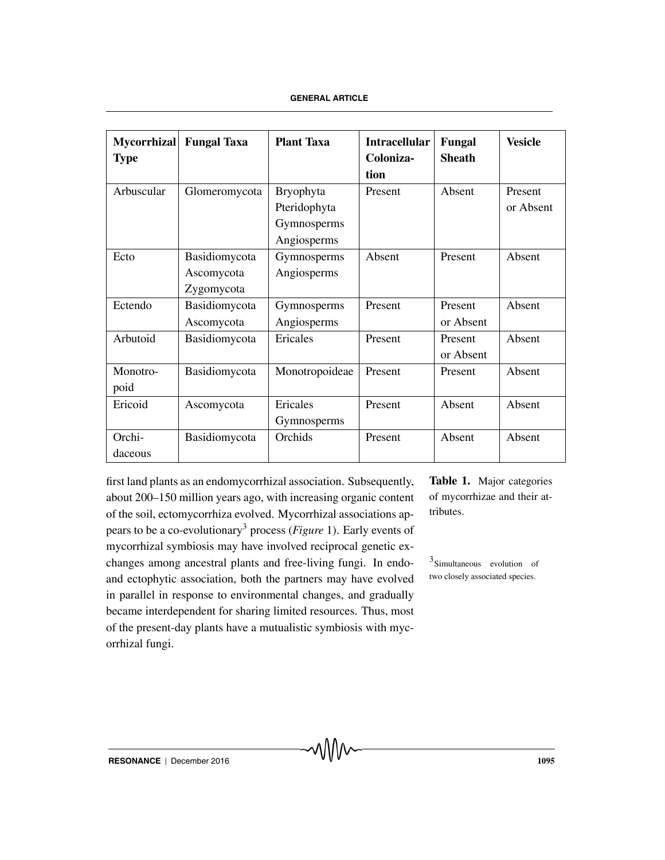| <b>Mycorrhizal</b><br><b>Type</b> | <b>Fungal Taxa</b>                        | <b>Plant Taxa</b>                                              | <b>Intracellular</b><br>Coloniza-<br>tion | Fungal<br><b>Sheath</b> | <b>Vesicle</b>       |
|-----------------------------------|-------------------------------------------|----------------------------------------------------------------|-------------------------------------------|-------------------------|----------------------|
| Arbuscular                        | Glomeromycota                             | <b>Bryophyta</b><br>Pteridophyta<br>Gymnosperms<br>Angiosperms | Present                                   | Absent                  | Present<br>or Absent |
| Ecto                              | Basidiomycota<br>Ascomycota<br>Zygomycota | Gymnosperms<br>Angiosperms                                     | Absent                                    | Present                 | Absent               |
| Ectendo                           | Basidiomycota<br>Ascomycota               | Gymnosperms<br>Angiosperms                                     | Present                                   | Present<br>or Absent    | Absent               |
| Arbutoid                          | Basidiomycota                             | Ericales                                                       | Present                                   | Present<br>or Absent    | Absent               |
| Monotro-<br>poid                  | Basidiomycota                             | Monotropoideae                                                 | Present                                   | Present                 | Absent               |
| Ericoid                           | Ascomycota                                | Ericales<br>Gymnosperms                                        | Present                                   | Absent                  | Absent               |
| Orchi-<br>daceous                 | Basidiomycota                             | Orchids                                                        | Present                                   | Absent                  | Absent               |

first land plants as an endomycorrhizal association. Subsequently, about 200–150 million years ago, with increasing organic content of the soil, ectomycorrhiza evolved. Mycorrhizal associations appears to be a co-evolutionary3 process (*Figure* 1). Early events of mycorrhizal symbiosis may have involved reciprocal genetic exchanges among ancestral plants and free-living fungi. In endo- $3$ Simultaneous evolution of and ectophytic association, both the partners may have evolved in parallel in response to environmental changes, and gradually became interdependent for sharing limited resources. Thus, most of the present-day plants have a mutualistic symbiosis with mycorrhizal fungi.

**Table 1.** Major categories of mycorrhizae and their attributes.

two closely associated species.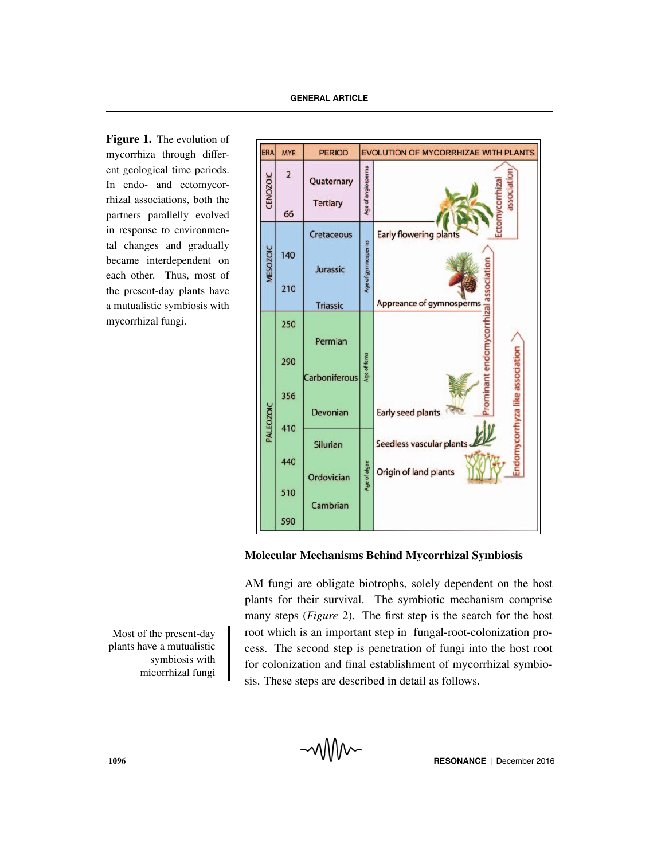**Figure 1.** The evolution of mycorrhiza through different geological time periods. In endo- and ectomycorrhizal associations, both the partners parallelly evolved in response to environmental changes and gradually became interdependent on each other. Thus, most of the present-day plants have a mutualistic symbiosis with mycorrhizal fungi.



# **Molecular Mechanisms Behind Mycorrhizal Symbiosis**

AM fungi are obligate biotrophs, solely dependent on the host plants for their survival. The symbiotic mechanism comprise many steps (*Figure* 2). The first step is the search for the host Most of the present-day root which is an important step in fungal-root-colonization process. The second step is penetration of fungi into the host root for colonization and final establishment of mycorrhizal symbiosis. These steps are described in detail as follows.

plants have a mutualistic symbiosis with micorrhizal fungi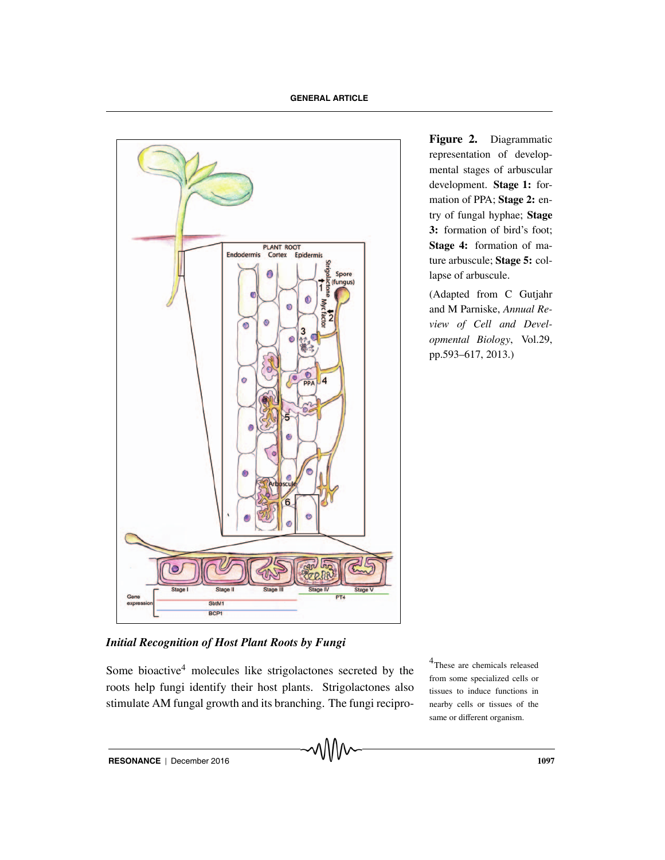

**Figure 2.** Diagrammatic representation of developmental stages of arbuscular development. **Stage 1:** formation of PPA; **Stage 2:** entry of fungal hyphae; **Stage 3:** formation of bird's foot; **Stage 4:** formation of mature arbuscule; **Stage 5:** collapse of arbuscule.

(Adapted from C Gutjahr and M Parniske, *Annual Review of Cell and Developmental Biology*, Vol.29, pp.593–617, 2013.)

# *Initial Recognition of Host Plant Roots by Fungi*

Some bioactive<sup>4</sup> molecules like strigolactones secreted by the roots help fungi identify their host plants. Strigolactones also stimulate AM fungal growth and its branching. The fungi recipro4These are chemicals released from some specialized cells or tissues to induce functions in nearby cells or tissues of the same or different organism.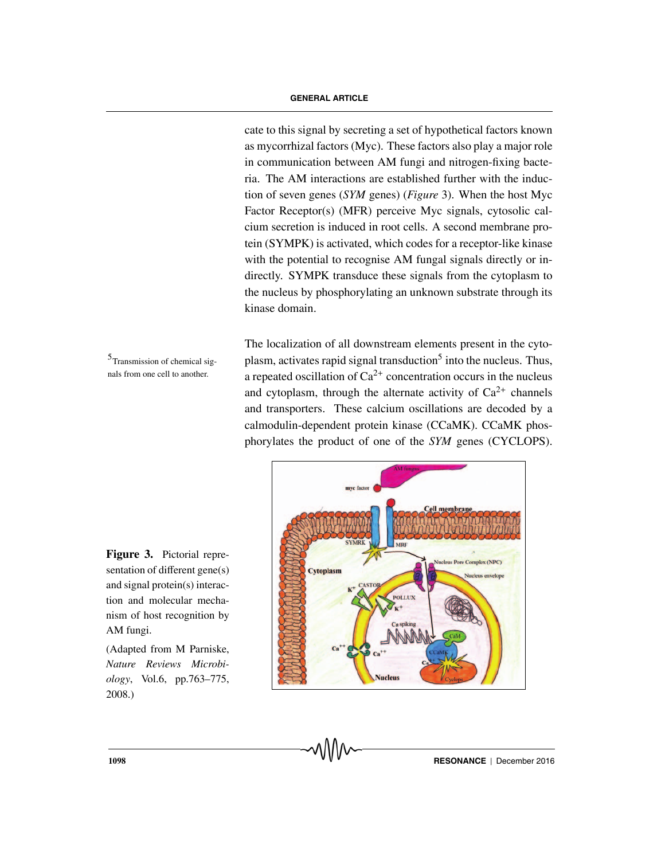cate to this signal by secreting a set of hypothetical factors known as mycorrhizal factors (Myc). These factors also play a major role in communication between AM fungi and nitrogen-fixing bacteria. The AM interactions are established further with the induction of seven genes (*SYM* genes) (*Figure* 3). When the host Myc Factor Receptor(s) (MFR) perceive Myc signals, cytosolic calcium secretion is induced in root cells. A second membrane protein (SYMPK) is activated, which codes for a receptor-like kinase with the potential to recognise AM fungal signals directly or indirectly. SYMPK transduce these signals from the cytoplasm to the nucleus by phosphorylating an unknown substrate through its kinase domain.

The localization of all downstream elements present in the cyto- $5$ Transmission of chemical sig-<br>plasm, activates rapid signal transduction<sup>5</sup> into the nucleus. Thus, a repeated oscillation of  $Ca^{2+}$  concentration occurs in the nucleus and cytoplasm, through the alternate activity of  $Ca^{2+}$  channels and transporters. These calcium oscillations are decoded by a calmodulin-dependent protein kinase (CCaMK). CCaMK phosphorylates the product of one of the *SYM* genes (CYCLOPS).



**Figure 3.** Pictorial representation of different gene(s) and signal protein(s) interaction and molecular mechanism of host recognition by AM fungi.

nals from one cell to another.

(Adapted from M Parniske, *Nature Reviews Microbiology*, Vol.6, pp.763–775, 2008.)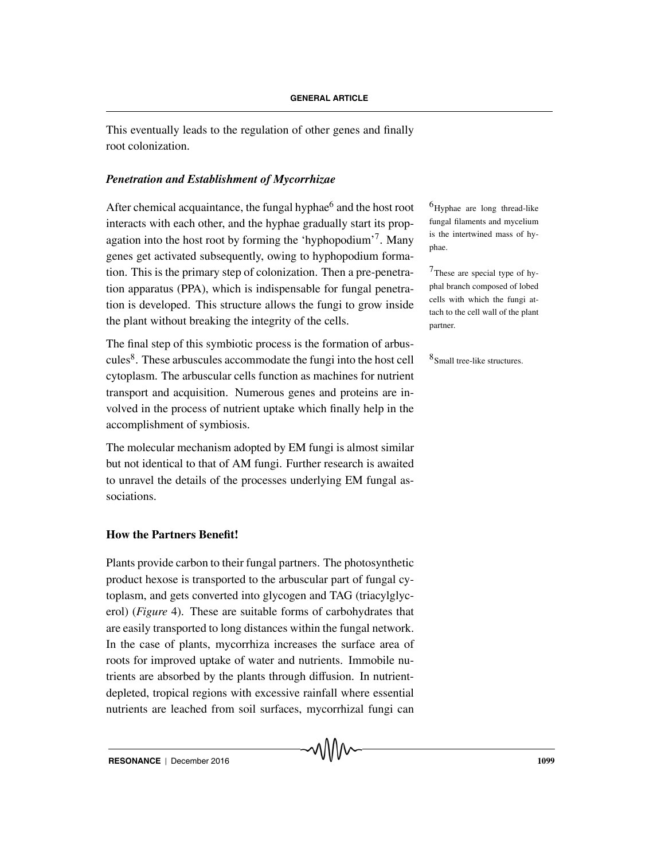This eventually leads to the regulation of other genes and finally root colonization.

# *Penetration and Establishment of Mycorrhizae*

After chemical acquaintance, the fungal hyphae $^6$  and the host root  $^6$ Hyphae are long thread-like interacts with each other, and the hyphae gradually start its propagation into the host root by forming the 'hyphopodium'<sup>7</sup>. Many genes get activated subsequently, owing to hyphopodium formation. This is the primary step of colonization. Then a pre-penetra-  $7$ These are special type of hytion apparatus (PPA), which is indispensable for fungal penetration is developed. This structure allows the fungi to grow inside the plant without breaking the integrity of the cells.

The final step of this symbiotic process is the formation of arbuscules<sup>8</sup>. These arbuscules accommodate the fungi into the host cell  $$^{8}$ Small tree-like structures. cytoplasm. The arbuscular cells function as machines for nutrient transport and acquisition. Numerous genes and proteins are involved in the process of nutrient uptake which finally help in the accomplishment of symbiosis.

The molecular mechanism adopted by EM fungi is almost similar but not identical to that of AM fungi. Further research is awaited to unravel the details of the processes underlying EM fungal associations.

# **How the Partners Benefit!**

Plants provide carbon to their fungal partners. The photosynthetic product hexose is transported to the arbuscular part of fungal cytoplasm, and gets converted into glycogen and TAG (triacylglycerol) (*Figure* 4). These are suitable forms of carbohydrates that are easily transported to long distances within the fungal network. In the case of plants, mycorrhiza increases the surface area of roots for improved uptake of water and nutrients. Immobile nutrients are absorbed by the plants through diffusion. In nutrientdepleted, tropical regions with excessive rainfall where essential nutrients are leached from soil surfaces, mycorrhizal fungi can fungal filaments and mycelium is the intertwined mass of hyphae.

phal branch composed of lobed cells with which the fungi attach to the cell wall of the plant partner.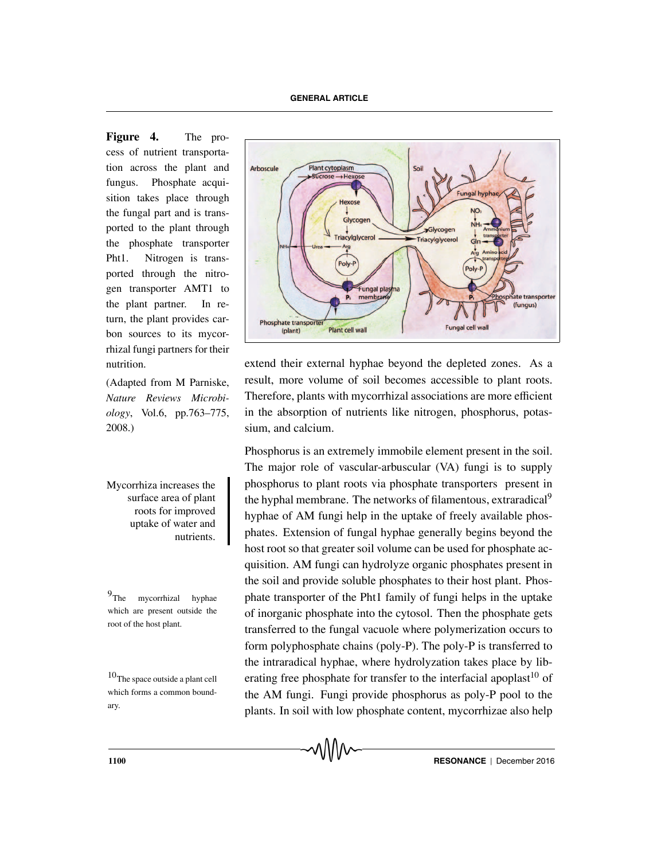**Figure 4.** The process of nutrient transportation across the plant and fungus. Phosphate acquisition takes place through the fungal part and is transported to the plant through the phosphate transporter Pht1. Nitrogen is transported through the nitrogen transporter AMT1 to the plant partner. In return, the plant provides carbon sources to its mycorrhizal fungi partners for their nutrition.

(Adapted from M Parniske, *Nature Reviews Microbiology*, Vol.6, pp.763–775, 2008.)

surface area of plant roots for improved uptake of water and nutrients.

which are present outside the root of the host plant.

which forms a common boundary.



extend their external hyphae beyond the depleted zones. As a result, more volume of soil becomes accessible to plant roots. Therefore, plants with mycorrhizal associations are more efficient in the absorption of nutrients like nitrogen, phosphorus, potassium, and calcium.

Phosphorus is an extremely immobile element present in the soil. The major role of vascular-arbuscular (VA) fungi is to supply Mycorrhiza increases the phosphorus to plant roots via phosphate transporters present in the hyphal membrane. The networks of filamentous, extraradical<sup>9</sup> hyphae of AM fungi help in the uptake of freely available phosphates. Extension of fungal hyphae generally begins beyond the host root so that greater soil volume can be used for phosphate acquisition. AM fungi can hydrolyze organic phosphates present in the soil and provide soluble phosphates to their host plant. Phos- $9$ The mycorrhizal hyphae phate transporter of the Pht1 family of fungi helps in the uptake of inorganic phosphate into the cytosol. Then the phosphate gets transferred to the fungal vacuole where polymerization occurs to form polyphosphate chains (poly-P). The poly-P is transferred to the intraradical hyphae, where hydrolyzation takes place by lib-<sup>10</sup>The space outside a plant cell erating free phosphate for transfer to the interfacial apoplast<sup>10</sup> of the AM fungi. Fungi provide phosphorus as poly-P pool to the plants. In soil with low phosphate content, mycorrhizae also help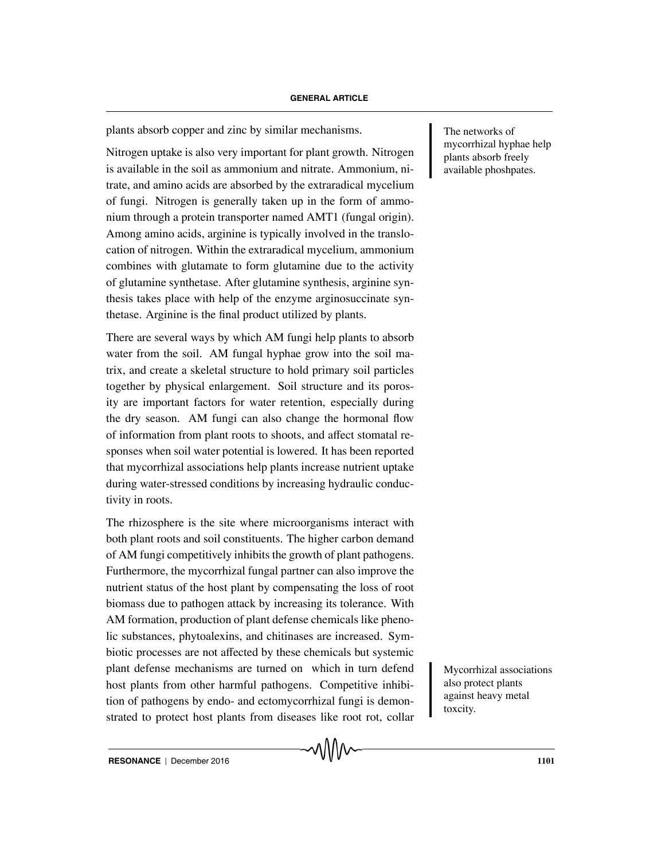plants absorb copper and zinc by similar mechanisms. The networks of

Nitrogen uptake is also very important for plant growth. Nitrogen is available in the soil as ammonium and nitrate. Ammonium, nitrate, and amino acids are absorbed by the extraradical mycelium of fungi. Nitrogen is generally taken up in the form of ammonium through a protein transporter named AMT1 (fungal origin). Among amino acids, arginine is typically involved in the translocation of nitrogen. Within the extraradical mycelium, ammonium combines with glutamate to form glutamine due to the activity of glutamine synthetase. After glutamine synthesis, arginine synthesis takes place with help of the enzyme arginosuccinate synthetase. Arginine is the final product utilized by plants.

There are several ways by which AM fungi help plants to absorb water from the soil. AM fungal hyphae grow into the soil matrix, and create a skeletal structure to hold primary soil particles together by physical enlargement. Soil structure and its porosity are important factors for water retention, especially during the dry season. AM fungi can also change the hormonal flow of information from plant roots to shoots, and affect stomatal responses when soil water potential is lowered. It has been reported that mycorrhizal associations help plants increase nutrient uptake during water-stressed conditions by increasing hydraulic conductivity in roots.

The rhizosphere is the site where microorganisms interact with both plant roots and soil constituents. The higher carbon demand of AM fungi competitively inhibits the growth of plant pathogens. Furthermore, the mycorrhizal fungal partner can also improve the nutrient status of the host plant by compensating the loss of root biomass due to pathogen attack by increasing its tolerance. With AM formation, production of plant defense chemicals like phenolic substances, phytoalexins, and chitinases are increased. Symbiotic processes are not affected by these chemicals but systemic plant defense mechanisms are turned on which in turn defend Mycorrhizal associations host plants from other harmful pathogens. Competitive inhibition of pathogens by endo- and ectomycorrhizal fungi is demonstrated to protect host plants from diseases like root rot, collar

mycorrhizal hyphae help plants absorb freely available phoshpates.

also protect plants against heavy metal toxcity.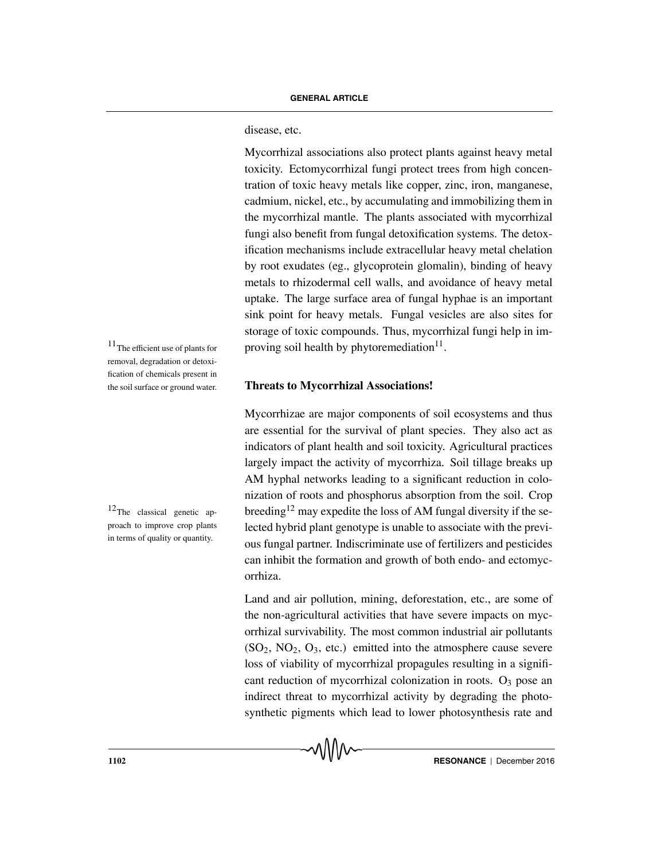disease, etc.

Mycorrhizal associations also protect plants against heavy metal toxicity. Ectomycorrhizal fungi protect trees from high concentration of toxic heavy metals like copper, zinc, iron, manganese, cadmium, nickel, etc., by accumulating and immobilizing them in the mycorrhizal mantle. The plants associated with mycorrhizal fungi also benefit from fungal detoxification systems. The detoxification mechanisms include extracellular heavy metal chelation by root exudates (eg., glycoprotein glomalin), binding of heavy metals to rhizodermal cell walls, and avoidance of heavy metal uptake. The large surface area of fungal hyphae is an important sink point for heavy metals. Fungal vesicles are also sites for storage of toxic compounds. Thus, mycorrhizal fungi help in im-<sup>11</sup>The efficient use of plants for proving soil health by phytoremediation<sup>11</sup>.

### **Threats to Mycorrhizal Associations!**

Mycorrhizae are major components of soil ecosystems and thus are essential for the survival of plant species. They also act as indicators of plant health and soil toxicity. Agricultural practices largely impact the activity of mycorrhiza. Soil tillage breaks up AM hyphal networks leading to a significant reduction in colonization of roots and phosphorus absorption from the soil. Crop breeding<sup>12</sup> may expedite the loss of AM fungal diversity if the selected hybrid plant genotype is unable to associate with the previous fungal partner. Indiscriminate use of fertilizers and pesticides can inhibit the formation and growth of both endo- and ectomycorrhiza.

Land and air pollution, mining, deforestation, etc., are some of the non-agricultural activities that have severe impacts on mycorrhizal survivability. The most common industrial air pollutants  $(SO<sub>2</sub>, NO<sub>2</sub>, O<sub>3</sub>, etc.)$  emitted into the atmosphere cause severe loss of viability of mycorrhizal propagules resulting in a significant reduction of mycorrhizal colonization in roots.  $O_3$  pose an indirect threat to mycorrhizal activity by degrading the photosynthetic pigments which lead to lower photosynthesis rate and

removal, degradation or detoxification of chemicals present in the soil surface or ground water.

 $^{12}$  The classical genetic approach to improve crop plants in terms of quality or quantity.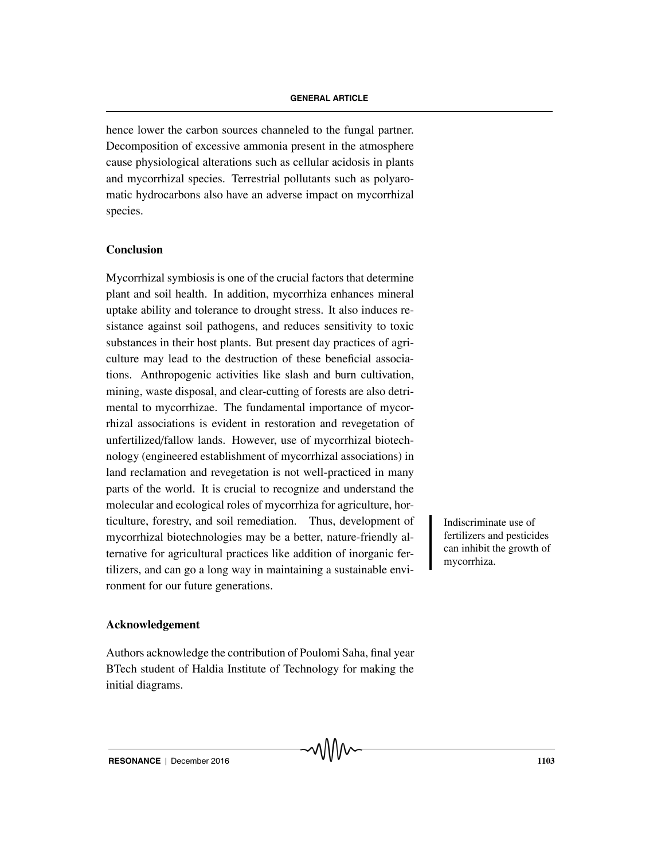hence lower the carbon sources channeled to the fungal partner. Decomposition of excessive ammonia present in the atmosphere cause physiological alterations such as cellular acidosis in plants and mycorrhizal species. Terrestrial pollutants such as polyaromatic hydrocarbons also have an adverse impact on mycorrhizal species.

# **Conclusion**

Mycorrhizal symbiosis is one of the crucial factors that determine plant and soil health. In addition, mycorrhiza enhances mineral uptake ability and tolerance to drought stress. It also induces resistance against soil pathogens, and reduces sensitivity to toxic substances in their host plants. But present day practices of agriculture may lead to the destruction of these beneficial associations. Anthropogenic activities like slash and burn cultivation, mining, waste disposal, and clear-cutting of forests are also detrimental to mycorrhizae. The fundamental importance of mycorrhizal associations is evident in restoration and revegetation of unfertilized/fallow lands. However, use of mycorrhizal biotechnology (engineered establishment of mycorrhizal associations) in land reclamation and revegetation is not well-practiced in many parts of the world. It is crucial to recognize and understand the molecular and ecological roles of mycorrhiza for agriculture, horticulture, forestry, and soil remediation. Thus, development of Indiscriminate use of mycorrhizal biotechnologies may be a better, nature-friendly alternative for agricultural practices like addition of inorganic fertilizers, and can go a long way in maintaining a sustainable environment for our future generations.

fertilizers and pesticides can inhibit the growth of mycorrhiza.

### **Acknowledgement**

Authors acknowledge the contribution of Poulomi Saha, final year BTech student of Haldia Institute of Technology for making the initial diagrams.